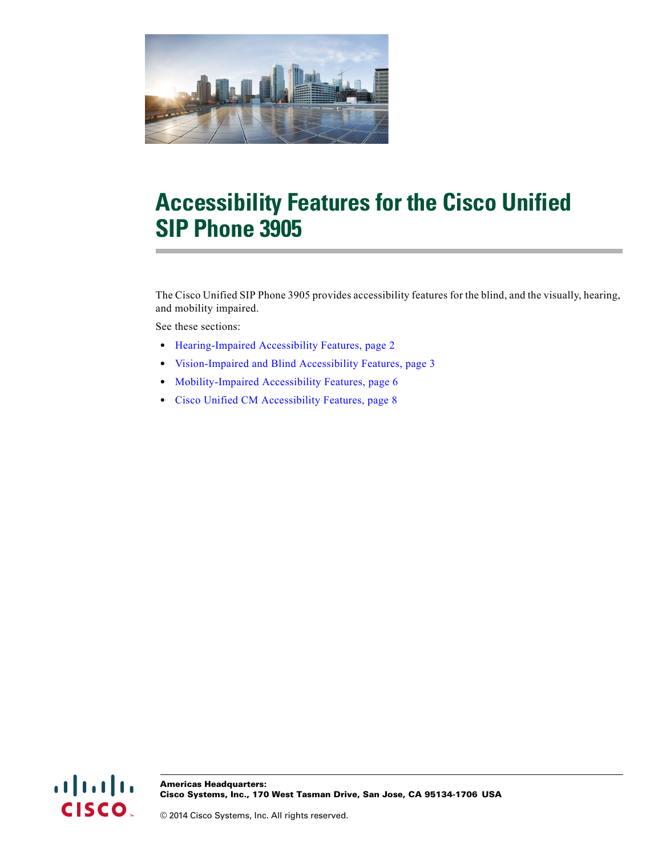

# **Accessibility Features for the Cisco Unified SIP Phone 3905**

The Cisco Unified SIP Phone 3905 provides accessibility features for the blind, and the visually, hearing, and mobility impaired.

See these sections:

- **•** [Hearing-Impaired Accessibility Features, page 2](#page-1-0)
- **•** [Vision-Impaired and Blind Accessibility Features, page 3](#page-2-0)
- **•** [Mobility-Impaired Accessibility Features, page 6](#page-5-0)
- **•** [Cisco Unified CM Accessibility Features, page 8](#page-7-0)

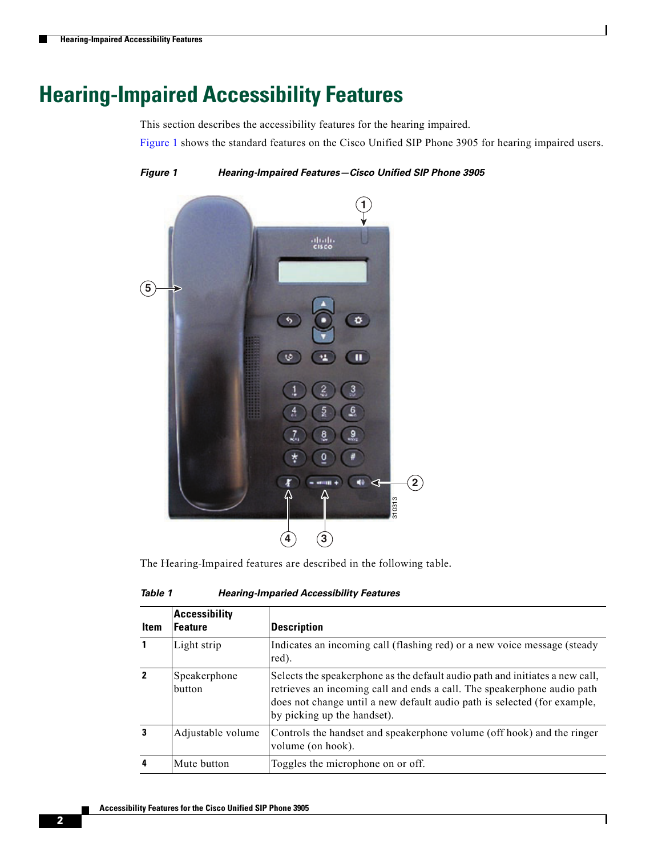## <span id="page-1-0"></span>**Hearing-Impaired Accessibility Features**

This section describes the accessibility features for the hearing impaired.

[Figure 1](#page-1-1) shows the standard features on the Cisco Unified SIP Phone 3905 for hearing impaired users.

<span id="page-1-1"></span>*Figure 1 Hearing-Impaired Features—Cisco Unified SIP Phone 3905*



The Hearing-Impaired features are described in the following table.

| Table 1 | <b>Hearing-Imparied Accessibility Features</b> |
|---------|------------------------------------------------|
|         |                                                |

| <b>Item</b>  | <b>Accessibility</b><br><b>Feature</b> | Description                                                                                                                                                                                                                                                        |
|--------------|----------------------------------------|--------------------------------------------------------------------------------------------------------------------------------------------------------------------------------------------------------------------------------------------------------------------|
| 1            | Light strip                            | Indicates an incoming call (flashing red) or a new voice message (steady<br>red).                                                                                                                                                                                  |
| $\mathbf{2}$ | Speakerphone<br>button                 | Selects the speakerphone as the default audio path and initiates a new call,<br>retrieves an incoming call and ends a call. The speakerphone audio path<br>does not change until a new default audio path is selected (for example,<br>by picking up the handset). |
|              | Adjustable volume                      | Controls the handset and speakerphone volume (off hook) and the ringer<br>volume (on hook).                                                                                                                                                                        |
|              | Mute button                            | Toggles the microphone on or off.                                                                                                                                                                                                                                  |

1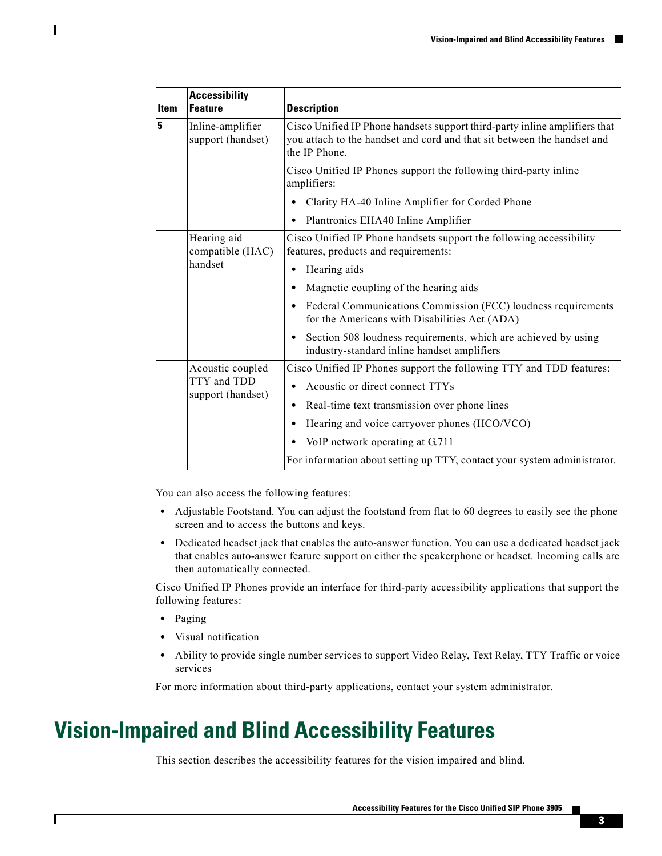| <b>Item</b>                     | <b>Accessibility</b><br><b>Feature</b> | <b>Description</b>                                                                                                                                                     |
|---------------------------------|----------------------------------------|------------------------------------------------------------------------------------------------------------------------------------------------------------------------|
| 5                               | Inline-amplifier<br>support (handset)  | Cisco Unified IP Phone handsets support third-party inline amplifiers that<br>you attach to the handset and cord and that sit between the handset and<br>the IP Phone. |
|                                 |                                        | Cisco Unified IP Phones support the following third-party inline<br>amplifiers:                                                                                        |
|                                 |                                        | Clarity HA-40 Inline Amplifier for Corded Phone<br>٠                                                                                                                   |
|                                 |                                        | Plantronics EHA40 Inline Amplifier<br>٠                                                                                                                                |
| Hearing aid<br>compatible (HAC) |                                        | Cisco Unified IP Phone handsets support the following accessibility<br>features, products and requirements:                                                            |
|                                 | handset                                | Hearing aids<br>٠                                                                                                                                                      |
|                                 |                                        | Magnetic coupling of the hearing aids                                                                                                                                  |
|                                 |                                        | Federal Communications Commission (FCC) loudness requirements<br>٠<br>for the Americans with Disabilities Act (ADA)                                                    |
|                                 |                                        | Section 508 loudness requirements, which are achieved by using<br>industry-standard inline handset amplifiers                                                          |
|                                 | Acoustic coupled                       | Cisco Unified IP Phones support the following TTY and TDD features:                                                                                                    |
|                                 | TTY and TDD<br>support (handset)       | Acoustic or direct connect TTYs<br>٠                                                                                                                                   |
|                                 |                                        | Real-time text transmission over phone lines<br>٠                                                                                                                      |
|                                 |                                        | Hearing and voice carryover phones (HCO/VCO)<br>٠                                                                                                                      |
|                                 |                                        | VoIP network operating at G.711                                                                                                                                        |
|                                 |                                        | For information about setting up TTY, contact your system administrator.                                                                                               |

You can also access the following features:

- Adjustable Footstand. You can adjust the footstand from flat to 60 degrees to easily see the phone screen and to access the buttons and keys.
- **•** Dedicated headset jack that enables the auto-answer function. You can use a dedicated headset jack that enables auto-answer feature support on either the speakerphone or headset. Incoming calls are then automatically connected.

Cisco Unified IP Phones provide an interface for third-party accessibility applications that support the following features:

**•** Paging

 $\mathbf I$ 

- **•** Visual notification
- Ability to provide single number services to support Video Relay, Text Relay, TTY Traffic or voice services

For more information about third-party applications, contact your system administrator.

## <span id="page-2-0"></span>**Vision-Impaired and Blind Accessibility Features**

This section describes the accessibility features for the vision impaired and blind.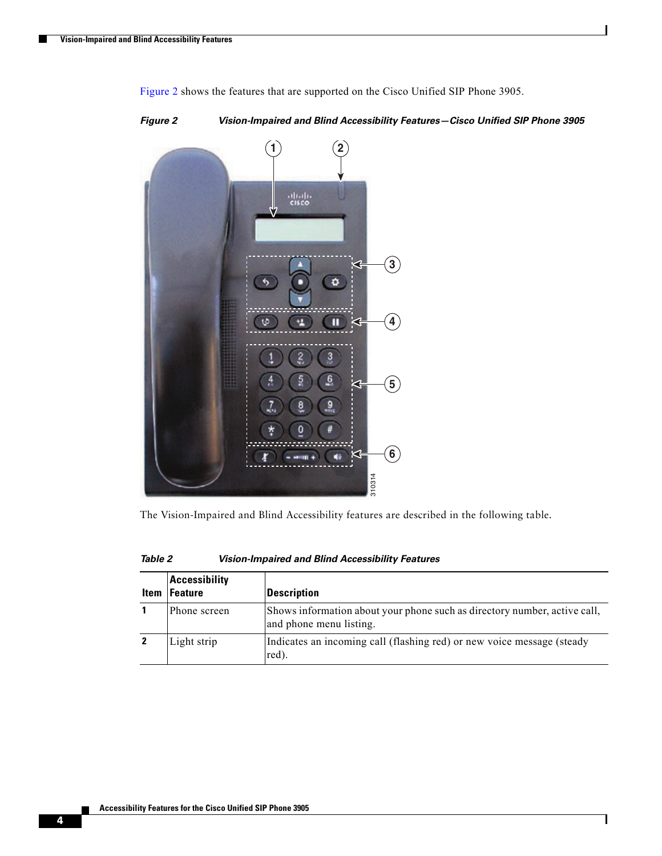

[Figure 2](#page-3-0) shows the features that are supported on the Cisco Unified SIP Phone 3905.

<span id="page-3-0"></span>*Figure 2 Vision-Impaired and Blind Accessibility Features—Cisco Unified SIP Phone 3905*

The Vision-Impaired and Blind Accessibility features are described in the following table.

| <b>Item</b> | <b>Accessibility</b><br>Feature | <b>Description</b>                                                                                   |
|-------------|---------------------------------|------------------------------------------------------------------------------------------------------|
|             | Phone screen                    | Shows information about your phone such as directory number, active call,<br>and phone menu listing. |
|             | Light strip                     | Indicates an incoming call (flashing red) or new voice message (steady<br>red).                      |

 $\mathsf I$ 

*Table 2 Vision-Impaired and Blind Accessibility Features*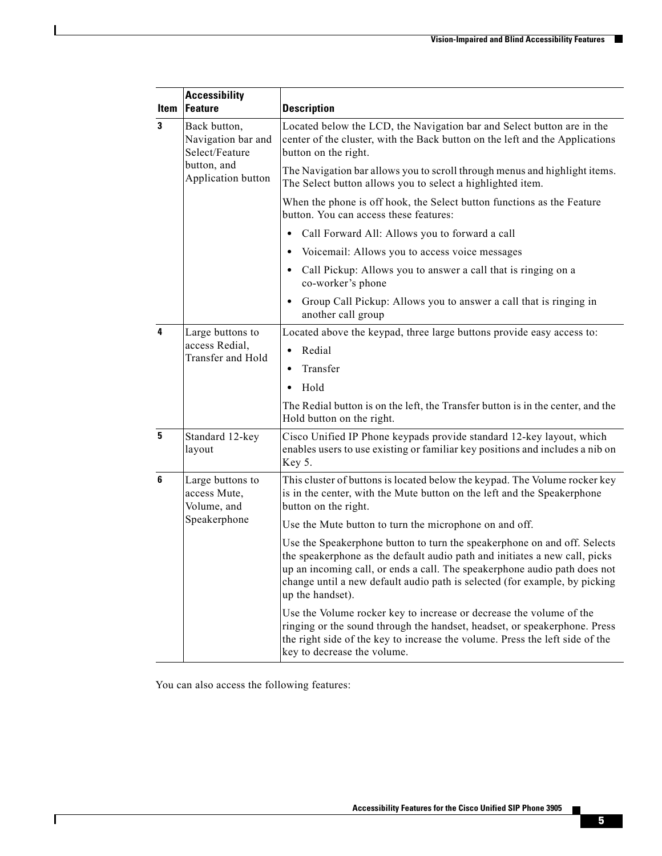|              | <b>Accessibility</b>                                 |                                                                                                                                                                                                                                                                                                                                       |  |
|--------------|------------------------------------------------------|---------------------------------------------------------------------------------------------------------------------------------------------------------------------------------------------------------------------------------------------------------------------------------------------------------------------------------------|--|
| <b>Item</b>  | <b>Feature</b>                                       | <b>Description</b>                                                                                                                                                                                                                                                                                                                    |  |
| $\mathbf{3}$ | Back button,<br>Navigation bar and<br>Select/Feature | Located below the LCD, the Navigation bar and Select button are in the<br>center of the cluster, with the Back button on the left and the Applications<br>button on the right.                                                                                                                                                        |  |
|              | button, and<br>Application button                    | The Navigation bar allows you to scroll through menus and highlight items.<br>The Select button allows you to select a highlighted item.                                                                                                                                                                                              |  |
|              |                                                      | When the phone is off hook, the Select button functions as the Feature<br>button. You can access these features:                                                                                                                                                                                                                      |  |
|              |                                                      | Call Forward All: Allows you to forward a call                                                                                                                                                                                                                                                                                        |  |
|              |                                                      | Voicemail: Allows you to access voice messages                                                                                                                                                                                                                                                                                        |  |
|              |                                                      | Call Pickup: Allows you to answer a call that is ringing on a<br>co-worker's phone                                                                                                                                                                                                                                                    |  |
|              |                                                      | Group Call Pickup: Allows you to answer a call that is ringing in<br>another call group                                                                                                                                                                                                                                               |  |
| 4            | Large buttons to                                     | Located above the keypad, three large buttons provide easy access to:                                                                                                                                                                                                                                                                 |  |
|              | access Redial,<br>Transfer and Hold                  | Redial<br>$\bullet$                                                                                                                                                                                                                                                                                                                   |  |
|              |                                                      | Transfer<br>$\bullet$                                                                                                                                                                                                                                                                                                                 |  |
|              |                                                      | Hold                                                                                                                                                                                                                                                                                                                                  |  |
|              |                                                      | The Redial button is on the left, the Transfer button is in the center, and the<br>Hold button on the right.                                                                                                                                                                                                                          |  |
| 5            | Standard 12-key<br>layout                            | Cisco Unified IP Phone keypads provide standard 12-key layout, which<br>enables users to use existing or familiar key positions and includes a nib on<br>Key 5.                                                                                                                                                                       |  |
| 6            | Large buttons to<br>access Mute,<br>Volume, and      | This cluster of buttons is located below the keypad. The Volume rocker key<br>is in the center, with the Mute button on the left and the Speakerphone<br>button on the right.                                                                                                                                                         |  |
|              | Speakerphone                                         | Use the Mute button to turn the microphone on and off.                                                                                                                                                                                                                                                                                |  |
|              |                                                      | Use the Speakerphone button to turn the speakerphone on and off. Selects<br>the speakerphone as the default audio path and initiates a new call, picks<br>up an incoming call, or ends a call. The speakerphone audio path does not<br>change until a new default audio path is selected (for example, by picking<br>up the handset). |  |
|              |                                                      | Use the Volume rocker key to increase or decrease the volume of the<br>ringing or the sound through the handset, headset, or speakerphone. Press<br>the right side of the key to increase the volume. Press the left side of the<br>key to decrease the volume.                                                                       |  |

You can also access the following features:

 $\Gamma$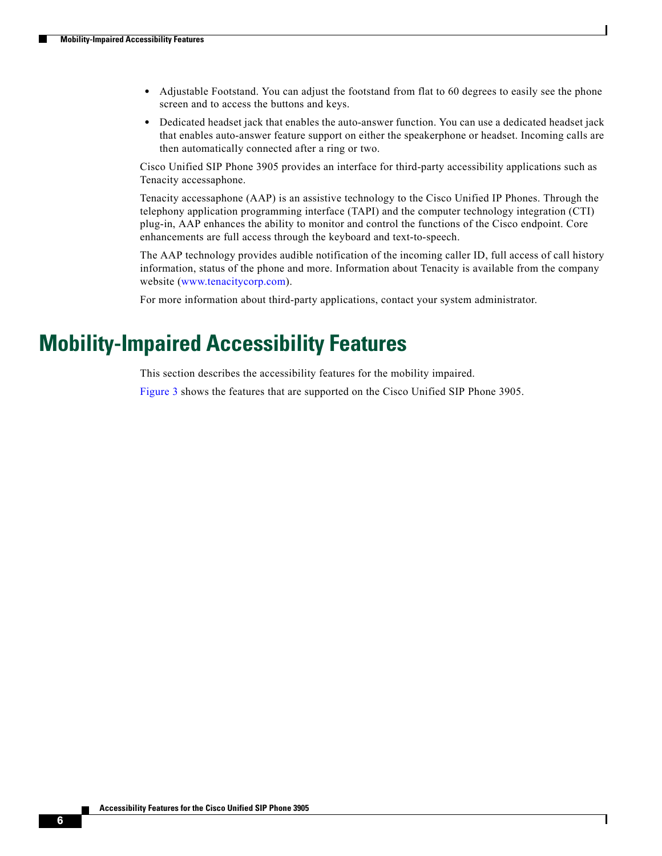- **•** Adjustable Footstand. You can adjust the footstand from flat to 60 degrees to easily see the phone screen and to access the buttons and keys.
- **•** Dedicated headset jack that enables the auto-answer function. You can use a dedicated headset jack that enables auto-answer feature support on either the speakerphone or headset. Incoming calls are then automatically connected after a ring or two.

Cisco Unified SIP Phone 3905 provides an interface for third-party accessibility applications such as Tenacity accessaphone.

Tenacity accessaphone (AAP) is an assistive technology to the Cisco Unified IP Phones. Through the telephony application programming interface (TAPI) and the computer technology integration (CTI) plug-in, AAP enhances the ability to monitor and control the functions of the Cisco endpoint. Core enhancements are full access through the keyboard and text-to-speech.

The AAP technology provides audible notification of the incoming caller ID, full access of call history information, status of the phone and more. Information about Tenacity is available from the company website ([www.tenacitycorp.com](http://www.tenacitycorp.com)).

Ι

For more information about third-party applications, contact your system administrator.

#### <span id="page-5-0"></span>**Mobility-Impaired Accessibility Features**

This section describes the accessibility features for the mobility impaired.

[Figure 3](#page-6-0) shows the features that are supported on the Cisco Unified SIP Phone 3905.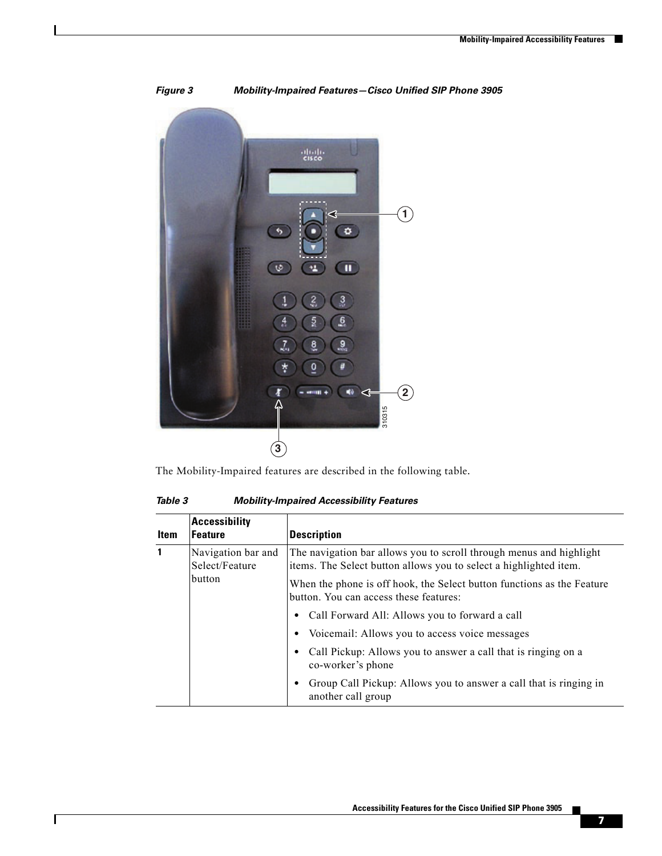<span id="page-6-0"></span>

*Figure 3 Mobility-Impaired Features—Cisco Unified SIP Phone 3905*

The Mobility-Impaired features are described in the following table.

*Table 3 Mobility-Impaired Accessibility Features*

 $\mathbf{I}$ 

| <b>Accessibility</b><br><b>Feature</b><br><b>Description</b><br>Item |                                                |                                                                                                                                          |
|----------------------------------------------------------------------|------------------------------------------------|------------------------------------------------------------------------------------------------------------------------------------------|
| 1                                                                    | Navigation bar and<br>Select/Feature<br>button | The navigation bar allows you to scroll through menus and highlight<br>items. The Select button allows you to select a highlighted item. |
|                                                                      |                                                | When the phone is off hook, the Select button functions as the Feature<br>button. You can access these features:                         |
|                                                                      |                                                | Call Forward All: Allows you to forward a call                                                                                           |
|                                                                      |                                                | Voicemail: Allows you to access voice messages                                                                                           |
|                                                                      |                                                | Call Pickup: Allows you to answer a call that is ringing on a<br>co-worker's phone                                                       |
|                                                                      |                                                | Group Call Pickup: Allows you to answer a call that is ringing in<br>another call group                                                  |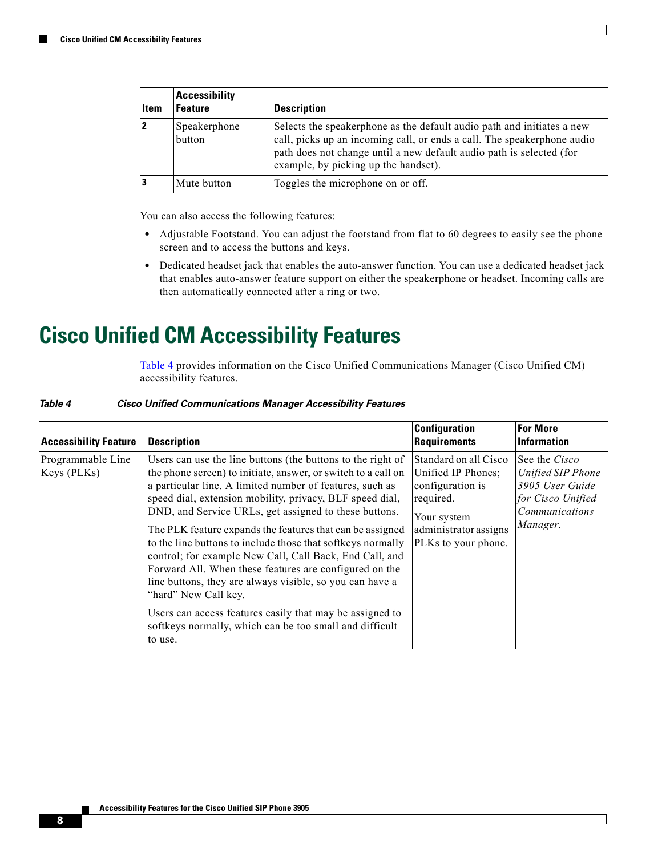| Item | <b>Accessibility</b><br><b>Feature</b> | <b>Description</b>                                                                                                                                                                                                                                                |
|------|----------------------------------------|-------------------------------------------------------------------------------------------------------------------------------------------------------------------------------------------------------------------------------------------------------------------|
|      | Speakerphone<br>button                 | Selects the speakerphone as the default audio path and initiates a new<br>call, picks up an incoming call, or ends a call. The speakerphone audio<br>path does not change until a new default audio path is selected (for<br>example, by picking up the handset). |
|      | Mute button                            | Toggles the microphone on or off.                                                                                                                                                                                                                                 |

You can also access the following features:

- **•** Adjustable Footstand. You can adjust the footstand from flat to 60 degrees to easily see the phone screen and to access the buttons and keys.
- **•** Dedicated headset jack that enables the auto-answer function. You can use a dedicated headset jack that enables auto-answer feature support on either the speakerphone or headset. Incoming calls are then automatically connected after a ring or two.

#### <span id="page-7-0"></span>**Cisco Unified CM Accessibility Features**

[Table 4](#page-7-1) provides information on the Cisco Unified Communications Manager (Cisco Unified CM) accessibility features.

 $\mathbf I$ 

<span id="page-7-1"></span>

| Table 4 | <b>Cisco Unified Communications Manager Accessibility Features</b> |  |  |
|---------|--------------------------------------------------------------------|--|--|
|         |                                                                    |  |  |

| <b>Accessibility Feature</b>     | <b>Description</b>                                                                                                                                                                                                                                                                                                                                                                                                                                                                                                                                                                                                                                                                                                                                                                   | <b>Configuration</b><br><b>Requirements</b>                                                                                                 | <b>For More</b><br><b>Information</b>                                                                           |
|----------------------------------|--------------------------------------------------------------------------------------------------------------------------------------------------------------------------------------------------------------------------------------------------------------------------------------------------------------------------------------------------------------------------------------------------------------------------------------------------------------------------------------------------------------------------------------------------------------------------------------------------------------------------------------------------------------------------------------------------------------------------------------------------------------------------------------|---------------------------------------------------------------------------------------------------------------------------------------------|-----------------------------------------------------------------------------------------------------------------|
| Programmable Line<br>Keys (PLKs) | Users can use the line buttons (the buttons to the right of<br>the phone screen) to initiate, answer, or switch to a call on<br>a particular line. A limited number of features, such as<br>speed dial, extension mobility, privacy, BLF speed dial,<br>DND, and Service URLs, get assigned to these buttons.<br>The PLK feature expands the features that can be assigned<br>to the line buttons to include those that softkeys normally<br>control; for example New Call, Call Back, End Call, and<br>Forward All. When these features are configured on the<br>line buttons, they are always visible, so you can have a<br>"hard" New Call key.<br>Users can access features easily that may be assigned to<br>softkeys normally, which can be too small and difficult<br>to use. | Standard on all Cisco<br>Unified IP Phones;<br>configuration is<br>required.<br>Your system<br>administrator assigns<br>PLKs to your phone. | See the <i>Cisco</i><br>Unified SIP Phone<br>3905 User Guide<br>for Cisco Unified<br>Communications<br>Manager. |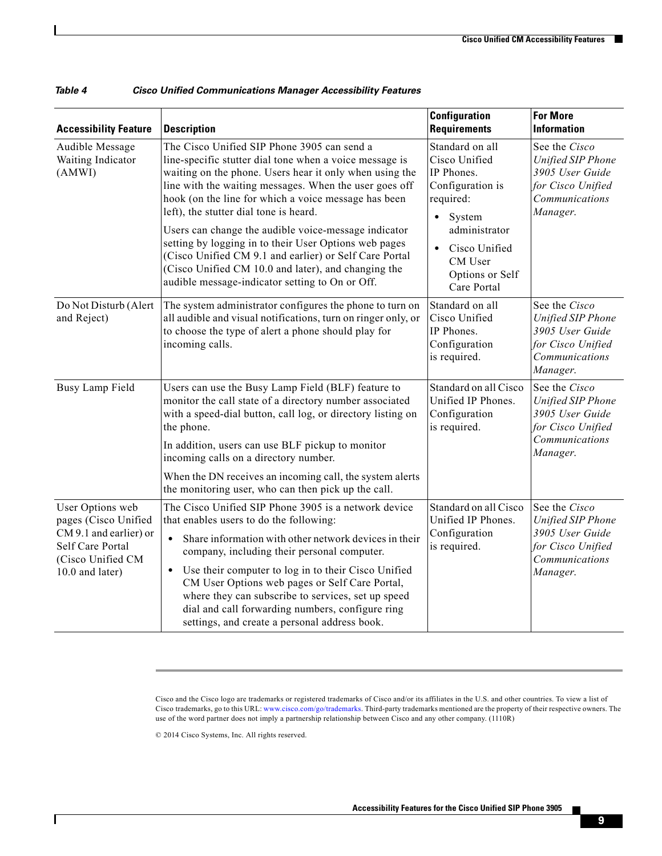| <b>Accessibility Feature</b>                                                                                                   | <b>Description</b>                                                                                                                                                                                                                                                                                                                                                                                                                                                                                       | <b>Configuration</b><br><b>Requirements</b>                                                                                                           | <b>For More</b><br><b>Information</b>                                                                           |
|--------------------------------------------------------------------------------------------------------------------------------|----------------------------------------------------------------------------------------------------------------------------------------------------------------------------------------------------------------------------------------------------------------------------------------------------------------------------------------------------------------------------------------------------------------------------------------------------------------------------------------------------------|-------------------------------------------------------------------------------------------------------------------------------------------------------|-----------------------------------------------------------------------------------------------------------------|
| Audible Message<br>Waiting Indicator<br>(AMWI)                                                                                 | The Cisco Unified SIP Phone 3905 can send a<br>line-specific stutter dial tone when a voice message is<br>waiting on the phone. Users hear it only when using the<br>line with the waiting messages. When the user goes off<br>hook (on the line for which a voice message has been<br>left), the stutter dial tone is heard.<br>Users can change the audible voice-message indicator<br>setting by logging in to their User Options web pages<br>(Cisco Unified CM 9.1 and earlier) or Self Care Portal | Standard on all<br>Cisco Unified<br>IP Phones.<br>Configuration is<br>required:<br>System<br>$\bullet$<br>administrator<br>Cisco Unified<br>$\bullet$ | See the Cisco<br>Unified SIP Phone<br>3905 User Guide<br>for Cisco Unified<br>Communications<br>Manager.        |
|                                                                                                                                | (Cisco Unified CM 10.0 and later), and changing the<br>audible message-indicator setting to On or Off.                                                                                                                                                                                                                                                                                                                                                                                                   | CM User<br>Options or Self<br>Care Portal                                                                                                             |                                                                                                                 |
| Do Not Disturb (Alert<br>and Reject)                                                                                           | The system administrator configures the phone to turn on<br>all audible and visual notifications, turn on ringer only, or<br>to choose the type of alert a phone should play for<br>incoming calls.                                                                                                                                                                                                                                                                                                      | Standard on all<br>Cisco Unified<br>IP Phones.<br>Configuration<br>is required.                                                                       | See the Cisco<br>Unified SIP Phone<br>3905 User Guide<br>for Cisco Unified<br>Communications<br>Manager.        |
| Busy Lamp Field                                                                                                                | Users can use the Busy Lamp Field (BLF) feature to<br>monitor the call state of a directory number associated<br>with a speed-dial button, call log, or directory listing on<br>the phone.                                                                                                                                                                                                                                                                                                               | Standard on all Cisco<br>Unified IP Phones.<br>Configuration<br>is required.                                                                          | See the Cisco<br><b>Unified SIP Phone</b><br>3905 User Guide<br>for Cisco Unified<br>Communications<br>Manager. |
|                                                                                                                                | In addition, users can use BLF pickup to monitor<br>incoming calls on a directory number.                                                                                                                                                                                                                                                                                                                                                                                                                |                                                                                                                                                       |                                                                                                                 |
|                                                                                                                                | When the DN receives an incoming call, the system alerts<br>the monitoring user, who can then pick up the call.                                                                                                                                                                                                                                                                                                                                                                                          |                                                                                                                                                       |                                                                                                                 |
| User Options web<br>pages (Cisco Unified<br>CM 9.1 and earlier) or<br>Self Care Portal<br>(Cisco Unified CM<br>10.0 and later) | The Cisco Unified SIP Phone 3905 is a network device<br>that enables users to do the following:                                                                                                                                                                                                                                                                                                                                                                                                          | Standard on all Cisco<br>Unified IP Phones.                                                                                                           | See the Cisco<br>Unified SIP Phone<br>3905 User Guide<br>for Cisco Unified<br>Communications<br>Manager.        |
|                                                                                                                                | Share information with other network devices in their<br>$\bullet$<br>company, including their personal computer.                                                                                                                                                                                                                                                                                                                                                                                        | Configuration<br>is required.                                                                                                                         |                                                                                                                 |
|                                                                                                                                | Use their computer to log in to their Cisco Unified<br>$\bullet$<br>CM User Options web pages or Self Care Portal,<br>where they can subscribe to services, set up speed<br>dial and call forwarding numbers, configure ring<br>settings, and create a personal address book.                                                                                                                                                                                                                            |                                                                                                                                                       |                                                                                                                 |

| Table 4 |  | <b>Cisco Unified Communications Manager Accessibility Features</b> |  |
|---------|--|--------------------------------------------------------------------|--|
|---------|--|--------------------------------------------------------------------|--|

© 2014 Cisco Systems, Inc. All rights reserved.

 $\overline{\phantom{a}}$ 

Cisco and the Cisco logo are trademarks or registered trademarks of Cisco and/or its affiliates in the U.S. and other countries. To view a list of Cisco trademarks, go to this URL: [www.cisco.com/go/trademarks](http://www.cisco.com/go/trademarks). Third-party trademarks mentioned are the property of their respective owners. The use of the word partner does not imply a partnership relationship between Cisco and any other company. (1110R)